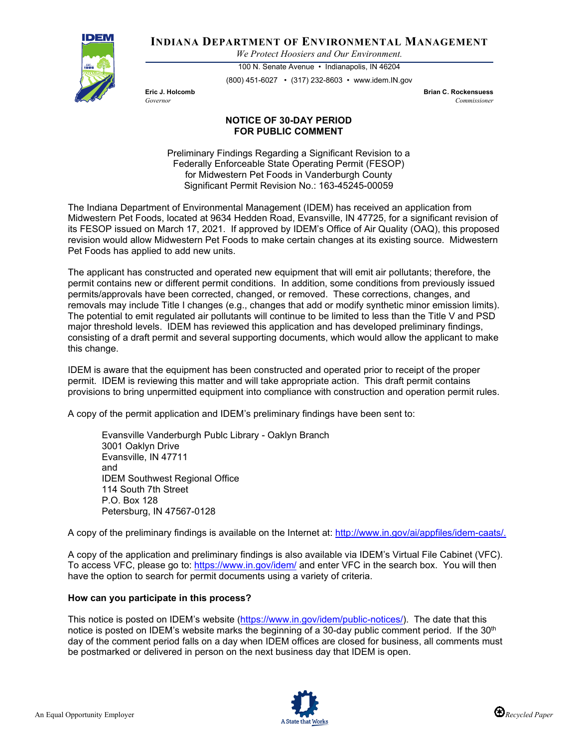

**INDIANA DEPARTMENT OF ENVIRONMENTAL MANAGEMENT**

*We Protect Hoosiers and Our Environment.*

100 N. Senate Avenue • Indianapolis, IN 46204 (800) 451-6027 • (317) 232-8603 • www.idem.IN.gov

**Eric J. Holcomb Brian C. Rockensuess** *Governor Commissioner* 

## **NOTICE OF 30-DAY PERIOD FOR PUBLIC COMMENT**

Preliminary Findings Regarding a Significant Revision to a Federally Enforceable State Operating Permit (FESOP) for Midwestern Pet Foods in Vanderburgh County Significant Permit Revision No.: 163-45245-00059

The Indiana Department of Environmental Management (IDEM) has received an application from Midwestern Pet Foods, located at 9634 Hedden Road, Evansville, IN 47725, for a significant revision of its FESOP issued on March 17, 2021. If approved by IDEM's Office of Air Quality (OAQ), this proposed revision would allow Midwestern Pet Foods to make certain changes at its existing source. Midwestern Pet Foods has applied to add new units.

The applicant has constructed and operated new equipment that will emit air pollutants; therefore, the permit contains new or different permit conditions. In addition, some conditions from previously issued permits/approvals have been corrected, changed, or removed. These corrections, changes, and removals may include Title I changes (e.g., changes that add or modify synthetic minor emission limits). The potential to emit regulated air pollutants will continue to be limited to less than the Title V and PSD major threshold levels. IDEM has reviewed this application and has developed preliminary findings, consisting of a draft permit and several supporting documents, which would allow the applicant to make this change.

IDEM is aware that the equipment has been constructed and operated prior to receipt of the proper permit. IDEM is reviewing this matter and will take appropriate action. This draft permit contains provisions to bring unpermitted equipment into compliance with construction and operation permit rules.

A copy of the permit application and IDEM's preliminary findings have been sent to:

Evansville Vanderburgh Publc Library - Oaklyn Branch 3001 Oaklyn Drive Evansville, IN 47711 and IDEM Southwest Regional Office 114 South 7th Street P.O. Box 128 Petersburg, IN 47567-0128

A copy of the preliminary findings is available on the Internet at: [http://www.in.gov/ai/appfiles/idem-caats/.](http://www.in.gov/ai/appfiles/idem-caats/)

A copy of the application and preliminary findings is also available via IDEM's Virtual File Cabinet (VFC). To access VFC, please go to:<https://www.in.gov/idem/> and enter VFC in the search box. You will then have the option to search for permit documents using a variety of criteria.

## **How can you participate in this process?**

This notice is posted on IDEM's website [\(https://www.in.gov/idem/public-notices/\)](https://www.in.gov/idem/public-notices/). The date that this notice is posted on IDEM's website marks the beginning of a 30-day public comment period. If the  $30<sup>th</sup>$ day of the comment period falls on a day when IDEM offices are closed for business, all comments must be postmarked or delivered in person on the next business day that IDEM is open.